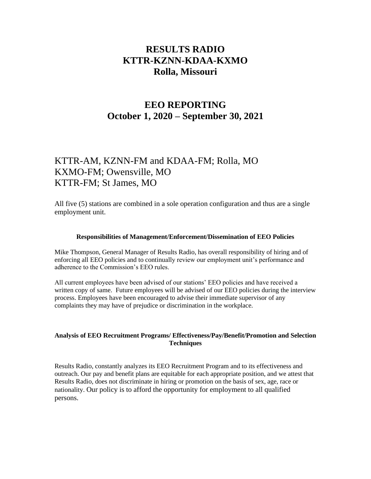# **RESULTS RADIO KTTR-KZNN-KDAA-KXMO Rolla, Missouri**

## **EEO REPORTING October 1, 2020 – September 30, 2021**

## KTTR-AM, KZNN-FM and KDAA-FM; Rolla, MO KXMO-FM; Owensville, MO KTTR-FM; St James, MO

All five (5) stations are combined in a sole operation configuration and thus are a single employment unit.

#### **Responsibilities of Management/Enforcement/Dissemination of EEO Policies**

Mike Thompson, General Manager of Results Radio, has overall responsibility of hiring and of enforcing all EEO policies and to continually review our employment unit's performance and adherence to the Commission's EEO rules.

All current employees have been advised of our stations' EEO policies and have received a written copy of same. Future employees will be advised of our EEO policies during the interview process. Employees have been encouraged to advise their immediate supervisor of any complaints they may have of prejudice or discrimination in the workplace.

#### **Analysis of EEO Recruitment Programs/ Effectiveness/Pay/Benefit/Promotion and Selection Techniques**

Results Radio, constantly analyzes its EEO Recruitment Program and to its effectiveness and outreach. Our pay and benefit plans are equitable for each appropriate position, and we attest that Results Radio, does not discriminate in hiring or promotion on the basis of sex, age, race or nationality. Our policy is to afford the opportunity for employment to all qualified persons.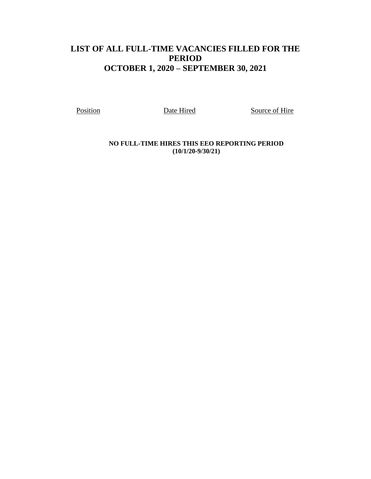## **LIST OF ALL FULL-TIME VACANCIES FILLED FOR THE PERIOD OCTOBER 1, 2020 – SEPTEMBER 30, 2021**

Position Date Hired Source of Hire

**NO FULL-TIME HIRES THIS EEO REPORTING PERIOD (10/1/20-9/30/21)**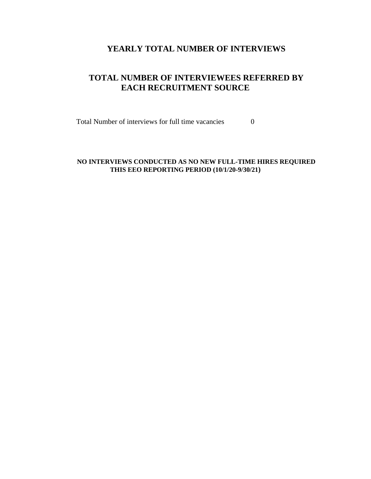#### **YEARLY TOTAL NUMBER OF INTERVIEWS**

### **TOTAL NUMBER OF INTERVIEWEES REFERRED BY EACH RECRUITMENT SOURCE**

Total Number of interviews for full time vacancies 0

#### **NO INTERVIEWS CONDUCTED AS NO NEW FULL-TIME HIRES REQUIRED THIS EEO REPORTING PERIOD (10/1/20-9/30/21)**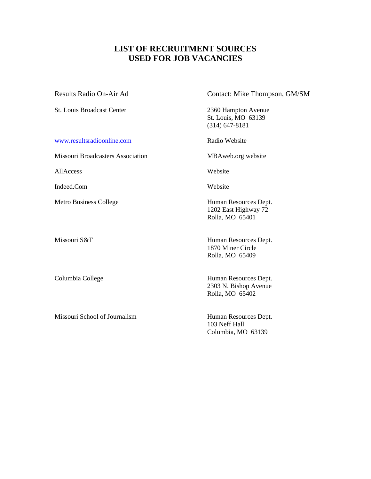## **LIST OF RECRUITMENT SOURCES USED FOR JOB VACANCIES**

St. Louis Broadcast Center 2360 Hampton Avenue

[www.resultsradioonline.com](http://www.resultsradioonline.com/) Radio Website

Missouri Broadcasters Association MBAweb.org website

AllAccess Website

Indeed.Com Website

Missouri School of Journalism Human Resources Dept.

Results Radio On-Air Ad Contact: Mike Thompson, GM/SM

St. Louis, MO 63139 (314) 647-8181

Metro Business College Human Resources Dept. 1202 East Highway 72 Rolla, MO 65401

Missouri S&T Human Resources Dept. 1870 Miner Circle Rolla, MO 65409

Columbia College Human Resources Dept. 2303 N. Bishop Avenue Rolla, MO 65402

> 103 Neff Hall Columbia, MO 63139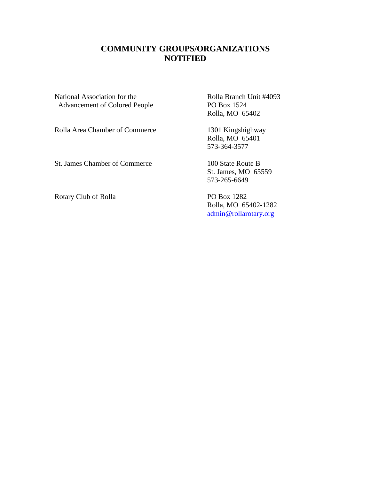### **COMMUNITY GROUPS/ORGANIZATIONS NOTIFIED**

National Association for the Rolla Branch Unit #4093 Advancement of Colored People PO Box 1524

Rolla Area Chamber of Commerce 1301 Kingshighway

St. James Chamber of Commerce 100 State Route B

Rotary Club of Rolla PO Box 1282

Rolla, MO 65402

Rolla, MO 65401 573-364-3577

St. James, MO 65559 573-265-6649

Rolla, MO 65402-1282 [admin@rollarotary.org](mailto:admin@rollarotary.org)